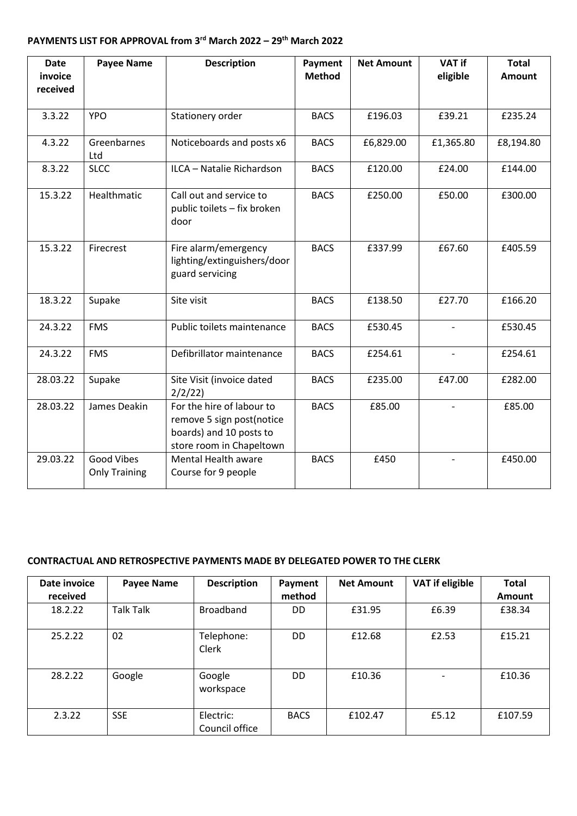## **PAYMENTS LIST FOR APPROVAL from 3 rd March 2022 – 29th March 2022**

| <b>Date</b><br>invoice | <b>Payee Name</b>                  | <b>Description</b>                                                                                            | Payment<br><b>Method</b> | <b>Net Amount</b> | <b>VAT if</b><br>eligible | <b>Total</b><br><b>Amount</b> |
|------------------------|------------------------------------|---------------------------------------------------------------------------------------------------------------|--------------------------|-------------------|---------------------------|-------------------------------|
| received               |                                    |                                                                                                               |                          |                   |                           |                               |
| 3.3.22                 | <b>YPO</b>                         | Stationery order                                                                                              | <b>BACS</b>              | £196.03           | £39.21                    | £235.24                       |
| 4.3.22                 | Greenbarnes<br>Ltd                 | Noticeboards and posts x6                                                                                     | <b>BACS</b>              | £6,829.00         | £1,365.80                 | £8,194.80                     |
| 8.3.22                 | <b>SLCC</b>                        | ILCA - Natalie Richardson                                                                                     | <b>BACS</b>              | £120.00           | £24.00                    | £144.00                       |
| 15.3.22                | Healthmatic                        | Call out and service to<br>public toilets - fix broken<br>door                                                | <b>BACS</b>              | £250.00           | £50.00                    | £300.00                       |
| 15.3.22                | Firecrest                          | Fire alarm/emergency<br>lighting/extinguishers/door<br>guard servicing                                        | <b>BACS</b>              | £337.99           | £67.60                    | £405.59                       |
| 18.3.22                | Supake                             | Site visit                                                                                                    | <b>BACS</b>              | £138.50           | £27.70                    | £166.20                       |
| 24.3.22                | <b>FMS</b>                         | Public toilets maintenance                                                                                    | <b>BACS</b>              | £530.45           |                           | £530.45                       |
| 24.3.22                | <b>FMS</b>                         | Defibrillator maintenance                                                                                     | <b>BACS</b>              | £254.61           |                           | £254.61                       |
| 28.03.22               | Supake                             | Site Visit (invoice dated<br>2/2/22                                                                           | <b>BACS</b>              | £235.00           | £47.00                    | £282.00                       |
| 28.03.22               | James Deakin                       | For the hire of labour to<br>remove 5 sign post(notice<br>boards) and 10 posts to<br>store room in Chapeltown | <b>BACS</b>              | £85.00            |                           | £85.00                        |
| 29.03.22               | Good Vibes<br><b>Only Training</b> | <b>Mental Health aware</b><br>Course for 9 people                                                             | <b>BACS</b>              | £450              |                           | £450.00                       |

## **CONTRACTUAL AND RETROSPECTIVE PAYMENTS MADE BY DELEGATED POWER TO THE CLERK**

| Date invoice<br>received | <b>Payee Name</b> | <b>Description</b>          | Payment<br>method | <b>Net Amount</b> | <b>VAT if eligible</b>   | <b>Total</b><br><b>Amount</b> |
|--------------------------|-------------------|-----------------------------|-------------------|-------------------|--------------------------|-------------------------------|
| 18.2.22                  | <b>Talk Talk</b>  | <b>Broadband</b>            | DD                | £31.95            | £6.39                    | £38.34                        |
| 25.2.22                  | 02                | Telephone:<br>Clerk         | DD                | £12.68            | £2.53                    | £15.21                        |
| 28.2.22                  | Google            | Google<br>workspace         | DD.               | £10.36            | $\overline{\phantom{a}}$ | £10.36                        |
| 2.3.22                   | <b>SSE</b>        | Electric:<br>Council office | <b>BACS</b>       | £102.47           | £5.12                    | £107.59                       |